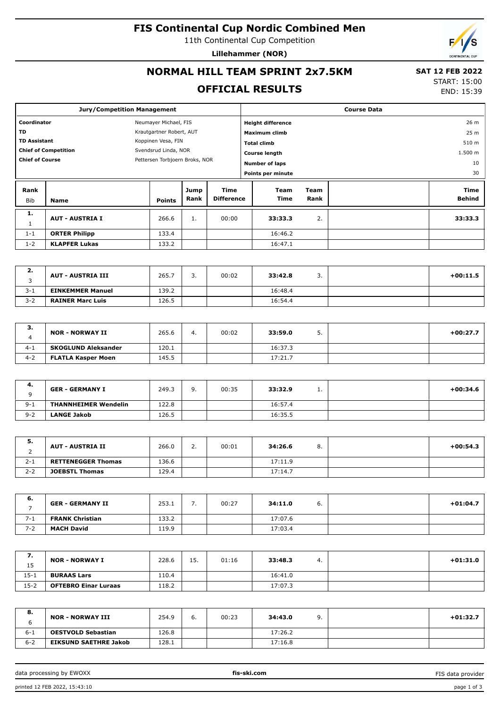## **FIS Continental Cup Nordic Combined Men**

11th Continental Cup Competition

**Lillehammer (NOR)**

# **NORMAL HILL TEAM SPRINT 2x7.5KM**

## **SAT 12 FEB 2022**

**OFFICIAL RESULTS**

START: 15:00 END: 15:39

|                                       | <b>Jury/Competition Management</b> |  |                                |                   |                   |                          | <b>Course Data</b> |  |         |  |  |
|---------------------------------------|------------------------------------|--|--------------------------------|-------------------|-------------------|--------------------------|--------------------|--|---------|--|--|
| Coordinator<br>Neumayer Michael, FIS  |                                    |  |                                |                   |                   | <b>Height difference</b> |                    |  | 26 m    |  |  |
| <b>TD</b><br>Krautgartner Robert, AUT |                                    |  | Maximum climb                  |                   |                   | 25 m                     |                    |  |         |  |  |
|                                       | <b>TD Assistant</b>                |  | Koppinen Vesa, FIN             |                   |                   | <b>Total climb</b>       |                    |  | 510 m   |  |  |
|                                       | <b>Chief of Competition</b>        |  | Svendsrud Linda, NOR           |                   |                   | <b>Course length</b>     |                    |  | 1.500 m |  |  |
| <b>Chief of Course</b>                |                                    |  | Pettersen Torbjoern Broks, NOR |                   |                   | <b>Number of laps</b>    |                    |  | 10      |  |  |
|                                       |                                    |  |                                | Points per minute |                   |                          |                    |  | 30      |  |  |
|                                       |                                    |  |                                |                   |                   |                          |                    |  |         |  |  |
| Rank                                  |                                    |  |                                | Jump              | Time              | Team                     | Team               |  | Time    |  |  |
| Bib                                   | <b>Name</b>                        |  | <b>Points</b>                  | Rank              | <b>Difference</b> | Time                     | Rank               |  | Behind  |  |  |
| 1.                                    |                                    |  |                                |                   |                   |                          |                    |  |         |  |  |
| 1                                     | <b>AUT - AUSTRIA I</b>             |  | 266.6                          | 1.                | 00:00             | 33:33.3                  | 2.                 |  | 33:33.3 |  |  |
| $1 - 1$                               | <b>ORTER Philipp</b>               |  | 133.4                          |                   |                   | 16:46.2                  |                    |  |         |  |  |

| Ζ.      | <b>AUT - AUSTRIA III</b> | 265.7 | <u>.</u> | 00:02 | 33:42.8 | <u>.</u> | $+00:11.5$ |
|---------|--------------------------|-------|----------|-------|---------|----------|------------|
| $3 - 1$ | <b>EINKEMMER Manuel</b>  | 139.2 |          |       | 16:48.4 |          |            |
| $3 - 2$ | <b>RAINER Marc Luis</b>  | 126.5 |          |       | 16:54.4 |          |            |

| <b>.</b> | <b>NOR - NORWAY II</b>     | 265.6 | 4. | 00:02 | 33:59.0 | <u>.</u> | $+00:27.7$ |
|----------|----------------------------|-------|----|-------|---------|----------|------------|
| $4 - 1$  | <b>SKOGLUND Aleksander</b> | 120.1 |    |       | 16:37.3 |          |            |
| $4 - 2$  | <b>FLATLA Kasper Moen</b>  | 145.5 |    |       | 17:21.7 |          |            |

| 4.      | <b>GER - GERMANY I</b>      | 249.3 | 9. | 00:35 | 33:32.9 | <b>. .</b> | $+00:34.6$ |
|---------|-----------------------------|-------|----|-------|---------|------------|------------|
| $9 - 1$ | <b>THANNHEIMER Wendelin</b> | 122.8 |    |       | 16:57.4 |            |            |
| $9 - 2$ | LANGE Jakob                 | 126.5 |    |       | 16:35.5 |            |            |

| 5.<br>∼ | AUT - AUSTRIA II          | 266.0 | <u>.</u> | 00:01 | 34:26.6 | o. | $+00:54.3$ |
|---------|---------------------------|-------|----------|-------|---------|----|------------|
| $2 - 1$ | <b>RETTENEGGER Thomas</b> | 136.6 |          |       | 17:11.9 |    |            |
| $2 - 2$ | <b>JOEBSTL Thomas</b>     | 129.4 |          |       | 17:14.7 |    |            |

| 6.      | <b>GER - GERMANY II</b> | 253.1 | 00:27 | 34:11.0 | o. | $+01:04.7$ |
|---------|-------------------------|-------|-------|---------|----|------------|
| $7 - 1$ | <b>FRANK Christian</b>  | 133.2 |       | 17:07.6 |    |            |
| $7 - 2$ | <b>MACH David</b>       | 119.9 |       | 17:03.4 |    |            |

| ,,<br>15 | <b>NOR - NORWAY I</b>       | 228.6 | 15. | 01:16 | 33:48.3 | 4. | $+01:31.0$ |
|----------|-----------------------------|-------|-----|-------|---------|----|------------|
| $15 - 1$ | <b>BURAAS Lars</b>          | 110.4 |     |       | 16:41.0 |    |            |
| $15 - 2$ | <b>OFTEBRO Einar Luraas</b> | 118.2 |     |       | 17:07.3 |    |            |

| 8.      | <b>NOR - NORWAY III</b>      | 254.9 | 6. | 00:23 | 34:43.0 | a | $+01:32.7$ |
|---------|------------------------------|-------|----|-------|---------|---|------------|
| $6 - 1$ | <b>OESTVOLD Sebastian</b>    | 126.8 |    |       | 17:26.2 |   |            |
| $6 - 2$ | <b>EIKSUND SAETHRE Jakob</b> | 128.1 |    |       | 17:16.8 |   |            |

data processing by EWOXX **fis-ski.com**

FIS data provider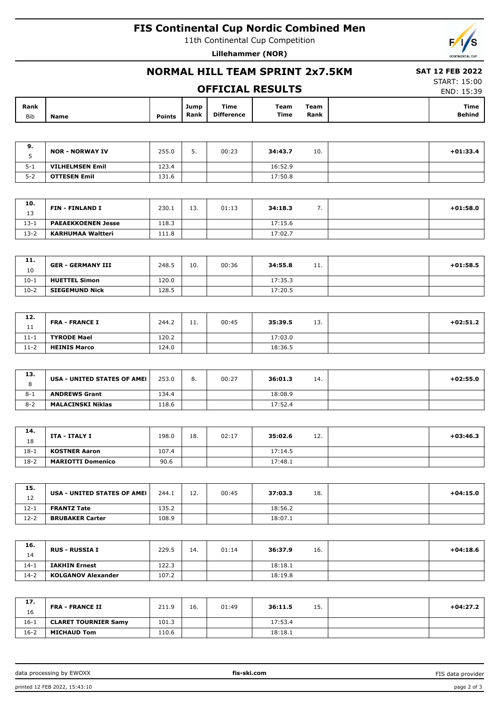## **FIS Continental Cup Nordic Combined Men**

11th Continental Cup Competition

**Lillehammer (NOR)**



## **NORMAL HILL TEAM SPRINT 2x7.5KM**

### **OFFICIAL RESULTS**

 **SAT 12 FEB 2022** START: 15:00

|  |  | UFFILIAL KESULIS |  |
|--|--|------------------|--|
|  |  |                  |  |

| Rank |      |               | Jump | Time              | Team | Team | Time          |
|------|------|---------------|------|-------------------|------|------|---------------|
| Bib  | Name | <b>Points</b> | Rank | <b>Difference</b> | Time | Rank | <b>Behind</b> |

| э.<br>◡ | <b>NOR - NORWAY IV</b> | 255.0 | <u>.</u> | 00:23 | 34:43.7 | 10. | $+01:33.4$ |
|---------|------------------------|-------|----------|-------|---------|-----|------------|
| $5 - 1$ | <b>VILHELMSEN Emil</b> | 123.4 |          |       | 16:52.9 |     |            |
| $5 - 2$ | <b>OTTESEN Emil</b>    | 131.6 |          |       | 17:50.8 |     |            |

| 10.      | <b>FIN - FINLAND I</b>    | 230.1 | 13. | 01:13 | 34:18.3 |  | $+01:58.0$ |
|----------|---------------------------|-------|-----|-------|---------|--|------------|
| 13       |                           |       |     |       |         |  |            |
| $13 - 1$ | <b>PAEAEKKOENEN Jesse</b> | 118.3 |     |       | 17:15.6 |  |            |
| $13-2$   | KARHUMAA Waltteri         | 111.8 |     |       | 17:02.7 |  |            |

| 11.<br>10 | <b>GER - GERMANY III</b> | 248.5 | 10 <sub>1</sub> | 00:36 | 34:55.8 | <b>TT:</b> | $+01:58.5$ |
|-----------|--------------------------|-------|-----------------|-------|---------|------------|------------|
| $10-1$    | <b>HUETTEL Simon</b>     | 120.0 |                 |       | 17:35.3 |            |            |
| $10-2$    | <b>SIEGEMUND Nick</b>    | 128.5 |                 |       | 17:20.5 |            |            |

| 12.<br>. . | <b>FRA - FRANCE I</b> | 244.2 | 11. | 00:45 | 13.<br>35:39.5 | $+02:51.2$ |
|------------|-----------------------|-------|-----|-------|----------------|------------|
| $11 - 1$   | <b>TYRODE Mael</b>    | 120.2 |     |       | 17:03.0        |            |
| $11 - 2$   | <b>HEINIS Marco</b>   | 124.0 |     |       | 18:36.5        |            |

| 13.     | USA - UNITED STATES OF AMEI | 253.0 | 8. | 00:27 | 36:01.3 | 14. | $+02:55.0$ |
|---------|-----------------------------|-------|----|-------|---------|-----|------------|
| $8 - 1$ | <b>ANDREWS Grant</b>        | 134.4 |    |       | 18:08.9 |     |            |
| $8 - 2$ | <b>MALACINSKI Niklas</b>    | 118.6 |    |       | 17:52.4 |     |            |

| 14.<br>18 | ITA - ITALY I            | 198.0 | 18. | 02:17 | 35:02.6 | 12. | $+03:46.3$ |
|-----------|--------------------------|-------|-----|-------|---------|-----|------------|
| $18 - 1$  | <b>KOSTNER Aaron</b>     | 107.4 |     |       | 17:14.5 |     |            |
| $18-2$    | <b>MARIOTTI Domenico</b> | 90.6  |     |       | 17:48.1 |     |            |

| 15.<br>12 | USA - UNITED STATES OF AMEI | 244.1 | 12. | 00:45 | 37:03.3 | 18. | $+04:15.0$ |
|-----------|-----------------------------|-------|-----|-------|---------|-----|------------|
| 12-1      | <b>FRANTZ Tate</b>          | 135.2 |     |       | 18:56.2 |     |            |
| $12 - 2$  | <b>BRUBAKER Carter</b>      | 108.9 |     |       | 18:07.1 |     |            |

| 16.<br>14 | RUS - RUSSIA I            | 229.5 | 14. | 01:14 | 36:37.9 | 16. | $+04:18.6$ |
|-----------|---------------------------|-------|-----|-------|---------|-----|------------|
| $14-1$    | <b>IAKHIN Ernest</b>      | 122.3 |     |       | 18:18.1 |     |            |
| $14 - 2$  | <b>KOLGANOV Alexander</b> | 107.2 |     |       | 18:19.8 |     |            |

| 17.<br>16 | <b>FRA - FRANCE II</b>      | 211.9 | 16. | 01:49 | 36:11.5 | 15. | $+04:27.2$ |
|-----------|-----------------------------|-------|-----|-------|---------|-----|------------|
| $16 - 1$  | <b>CLARET TOURNIER Samy</b> | 101.3 |     |       | 17:53.4 |     |            |
| $16 - 2$  | <b>MICHAUD Tom</b>          | 110.6 |     |       | 18:18.1 |     |            |

data processing by EWOXX **fis-ski.com**